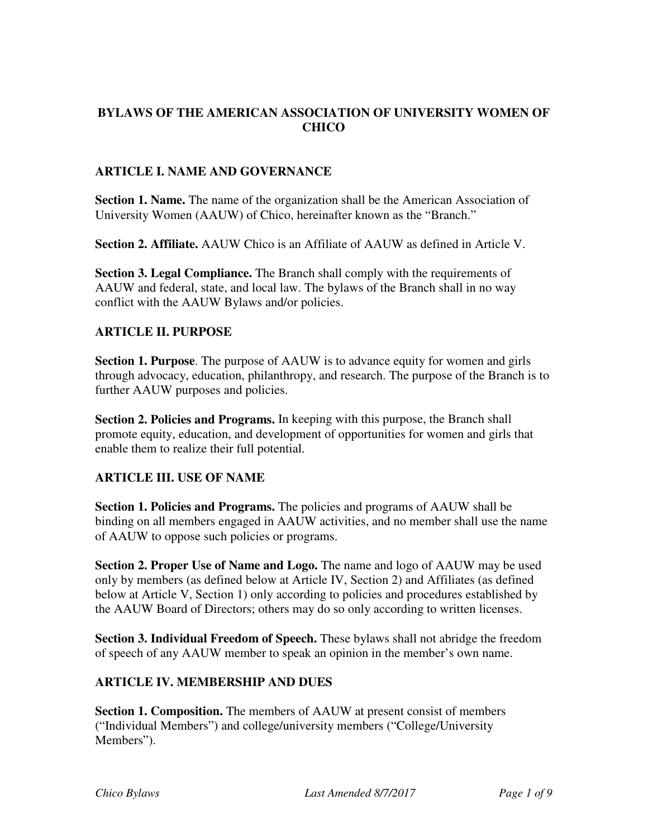## **BYLAWS OF THE AMERICAN ASSOCIATION OF UNIVERSITY WOMEN OF CHICO**

### **ARTICLE I. NAME AND GOVERNANCE**

**Section 1. Name.** The name of the organization shall be the American Association of University Women (AAUW) of Chico, hereinafter known as the "Branch."

**Section 2. Affiliate.** AAUW Chico is an Affiliate of AAUW as defined in Article V.

**Section 3. Legal Compliance.** The Branch shall comply with the requirements of AAUW and federal, state, and local law. The bylaws of the Branch shall in no way conflict with the AAUW Bylaws and/or policies.

### **ARTICLE II. PURPOSE**

**Section 1. Purpose**. The purpose of AAUW is to advance equity for women and girls through advocacy, education, philanthropy, and research. The purpose of the Branch is to further AAUW purposes and policies.

**Section 2. Policies and Programs.** In keeping with this purpose, the Branch shall promote equity, education, and development of opportunities for women and girls that enable them to realize their full potential.

### **ARTICLE III. USE OF NAME**

**Section 1. Policies and Programs.** The policies and programs of AAUW shall be binding on all members engaged in AAUW activities, and no member shall use the name of AAUW to oppose such policies or programs.

**Section 2. Proper Use of Name and Logo.** The name and logo of AAUW may be used only by members (as defined below at Article IV, Section 2) and Affiliates (as defined below at Article V, Section 1) only according to policies and procedures established by the AAUW Board of Directors; others may do so only according to written licenses.

**Section 3. Individual Freedom of Speech.** These bylaws shall not abridge the freedom of speech of any AAUW member to speak an opinion in the member's own name.

### **ARTICLE IV. MEMBERSHIP AND DUES**

**Section 1. Composition.** The members of AAUW at present consist of members ("Individual Members") and college/university members ("College/University Members").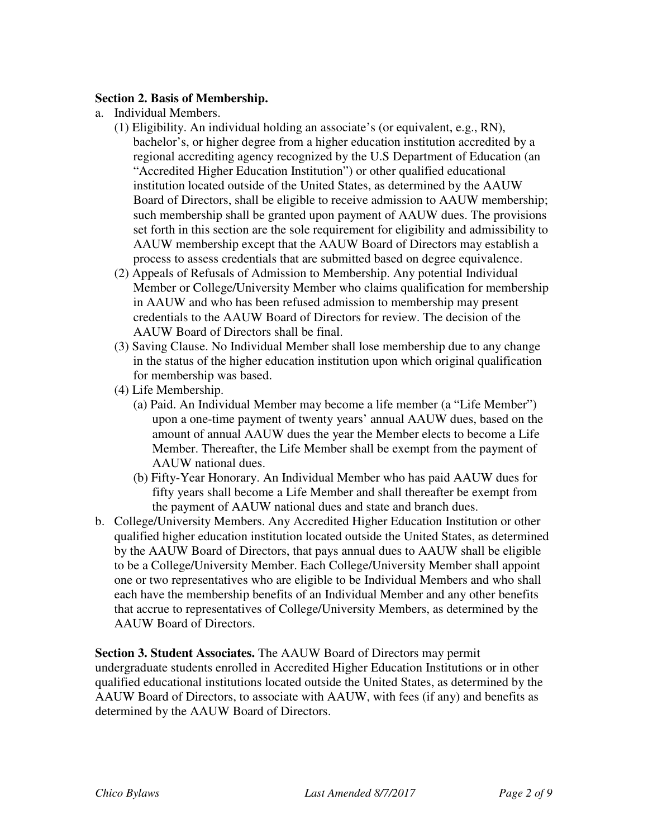#### **Section 2. Basis of Membership.**

- a. Individual Members.
	- (1) Eligibility. An individual holding an associate's (or equivalent, e.g., RN), bachelor's, or higher degree from a higher education institution accredited by a regional accrediting agency recognized by the U.S Department of Education (an "Accredited Higher Education Institution") or other qualified educational institution located outside of the United States, as determined by the AAUW Board of Directors, shall be eligible to receive admission to AAUW membership; such membership shall be granted upon payment of AAUW dues. The provisions set forth in this section are the sole requirement for eligibility and admissibility to AAUW membership except that the AAUW Board of Directors may establish a process to assess credentials that are submitted based on degree equivalence.
	- (2) Appeals of Refusals of Admission to Membership. Any potential Individual Member or College/University Member who claims qualification for membership in AAUW and who has been refused admission to membership may present credentials to the AAUW Board of Directors for review. The decision of the AAUW Board of Directors shall be final.
	- (3) Saving Clause. No Individual Member shall lose membership due to any change in the status of the higher education institution upon which original qualification for membership was based.
	- (4) Life Membership.
		- (a) Paid. An Individual Member may become a life member (a "Life Member") upon a one-time payment of twenty years' annual AAUW dues, based on the amount of annual AAUW dues the year the Member elects to become a Life Member. Thereafter, the Life Member shall be exempt from the payment of AAUW national dues.
		- (b) Fifty-Year Honorary. An Individual Member who has paid AAUW dues for fifty years shall become a Life Member and shall thereafter be exempt from the payment of AAUW national dues and state and branch dues.
- b. College/University Members. Any Accredited Higher Education Institution or other qualified higher education institution located outside the United States, as determined by the AAUW Board of Directors, that pays annual dues to AAUW shall be eligible to be a College/University Member. Each College/University Member shall appoint one or two representatives who are eligible to be Individual Members and who shall each have the membership benefits of an Individual Member and any other benefits that accrue to representatives of College/University Members, as determined by the AAUW Board of Directors.

**Section 3. Student Associates.** The AAUW Board of Directors may permit undergraduate students enrolled in Accredited Higher Education Institutions or in other qualified educational institutions located outside the United States, as determined by the AAUW Board of Directors, to associate with AAUW, with fees (if any) and benefits as determined by the AAUW Board of Directors.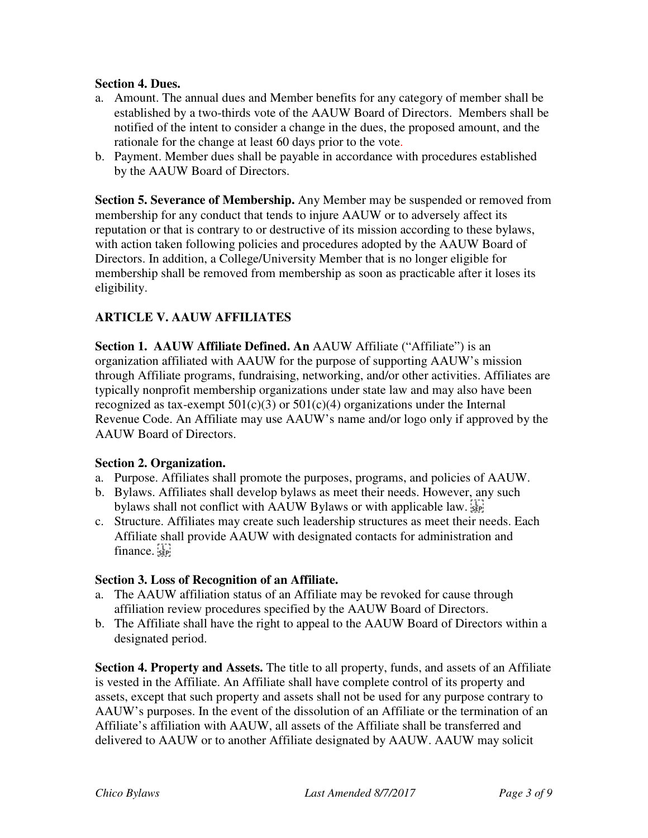#### **Section 4. Dues.**

- a. Amount. The annual dues and Member benefits for any category of member shall be established by a two-thirds vote of the AAUW Board of Directors. Members shall be notified of the intent to consider a change in the dues, the proposed amount, and the rationale for the change at least 60 days prior to the vote.
- b. Payment. Member dues shall be payable in accordance with procedures established by the AAUW Board of Directors.

**Section 5. Severance of Membership.** Any Member may be suspended or removed from membership for any conduct that tends to injure AAUW or to adversely affect its reputation or that is contrary to or destructive of its mission according to these bylaws, with action taken following policies and procedures adopted by the AAUW Board of Directors. In addition, a College/University Member that is no longer eligible for membership shall be removed from membership as soon as practicable after it loses its eligibility.

# **ARTICLE V. AAUW AFFILIATES**

**Section 1. AAUW Affiliate Defined. An AAUW Affiliate ("Affiliate") is an** organization affiliated with AAUW for the purpose of supporting AAUW's mission through Affiliate programs, fundraising, networking, and/or other activities. Affiliates are typically nonprofit membership organizations under state law and may also have been recognized as tax-exempt  $501(c)(3)$  or  $501(c)(4)$  organizations under the Internal Revenue Code. An Affiliate may use AAUW's name and/or logo only if approved by the AAUW Board of Directors.

#### **Section 2. Organization.**

- a. Purpose. Affiliates shall promote the purposes, programs, and policies of AAUW.
- b. Bylaws. Affiliates shall develop bylaws as meet their needs. However, any such bylaws shall not conflict with AAUW Bylaws or with applicable law.
- c. Structure. Affiliates may create such leadership structures as meet their needs. Each Affiliate shall provide AAUW with designated contacts for administration and finance.

#### **Section 3. Loss of Recognition of an Affiliate.**

- a. The AAUW affiliation status of an Affiliate may be revoked for cause through affiliation review procedures specified by the AAUW Board of Directors.
- b. The Affiliate shall have the right to appeal to the AAUW Board of Directors within a designated period.

**Section 4. Property and Assets.** The title to all property, funds, and assets of an Affiliate is vested in the Affiliate. An Affiliate shall have complete control of its property and assets, except that such property and assets shall not be used for any purpose contrary to AAUW's purposes. In the event of the dissolution of an Affiliate or the termination of an Affiliate's affiliation with AAUW, all assets of the Affiliate shall be transferred and delivered to AAUW or to another Affiliate designated by AAUW. AAUW may solicit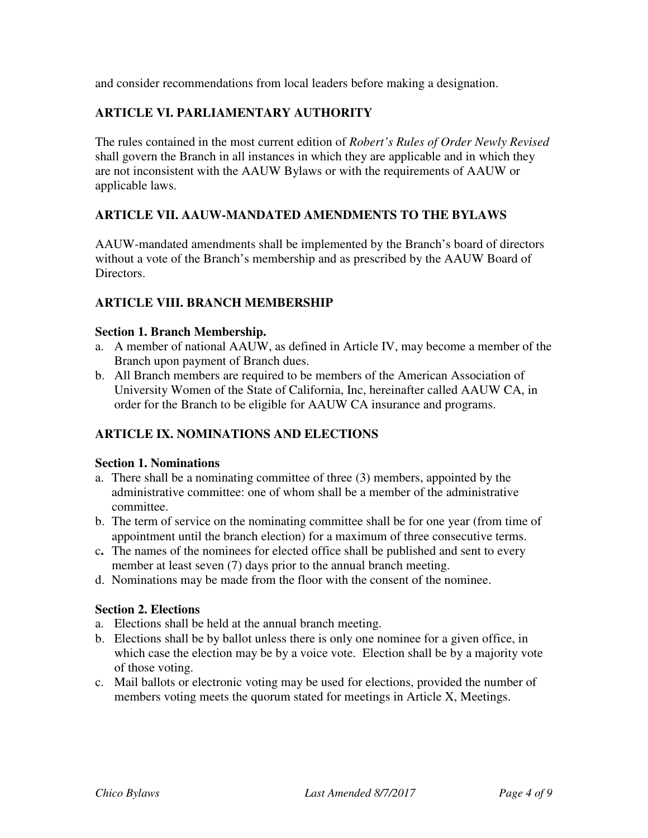and consider recommendations from local leaders before making a designation.

## **ARTICLE VI. PARLIAMENTARY AUTHORITY**

The rules contained in the most current edition of *Robert's Rules of Order Newly Revised* shall govern the Branch in all instances in which they are applicable and in which they are not inconsistent with the AAUW Bylaws or with the requirements of AAUW or applicable laws.

### **ARTICLE VII. AAUW-MANDATED AMENDMENTS TO THE BYLAWS**

AAUW-mandated amendments shall be implemented by the Branch's board of directors without a vote of the Branch's membership and as prescribed by the AAUW Board of Directors.

### **ARTICLE VIII. BRANCH MEMBERSHIP**

#### **Section 1. Branch Membership.**

- a. A member of national AAUW, as defined in Article IV, may become a member of the Branch upon payment of Branch dues.
- b. All Branch members are required to be members of the American Association of University Women of the State of California, Inc, hereinafter called AAUW CA, in order for the Branch to be eligible for AAUW CA insurance and programs.

### **ARTICLE IX. NOMINATIONS AND ELECTIONS**

#### **Section 1. Nominations**

- a. There shall be a nominating committee of three (3) members, appointed by the administrative committee: one of whom shall be a member of the administrative committee.
- b. The term of service on the nominating committee shall be for one year (from time of appointment until the branch election) for a maximum of three consecutive terms.
- c**.** The names of the nominees for elected office shall be published and sent to every member at least seven (7) days prior to the annual branch meeting.
- d. Nominations may be made from the floor with the consent of the nominee.

### **Section 2. Elections**

- a. Elections shall be held at the annual branch meeting.
- b. Elections shall be by ballot unless there is only one nominee for a given office, in which case the election may be by a voice vote. Election shall be by a majority vote of those voting.
- c. Mail ballots or electronic voting may be used for elections, provided the number of members voting meets the quorum stated for meetings in Article X, Meetings.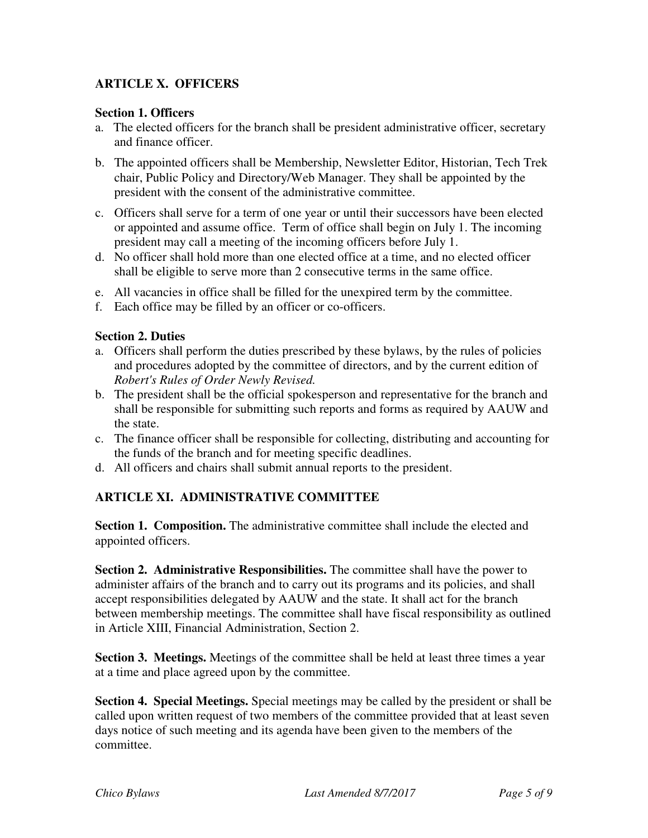## **ARTICLE X. OFFICERS**

### **Section 1. Officers**

- a. The elected officers for the branch shall be president administrative officer, secretary and finance officer.
- b. The appointed officers shall be Membership, Newsletter Editor, Historian, Tech Trek chair, Public Policy and Directory/Web Manager. They shall be appointed by the president with the consent of the administrative committee.
- c. Officers shall serve for a term of one year or until their successors have been elected or appointed and assume office. Term of office shall begin on July 1. The incoming president may call a meeting of the incoming officers before July 1.
- d. No officer shall hold more than one elected office at a time, and no elected officer shall be eligible to serve more than 2 consecutive terms in the same office.
- e. All vacancies in office shall be filled for the unexpired term by the committee.
- f. Each office may be filled by an officer or co-officers.

### **Section 2. Duties**

- a. Officers shall perform the duties prescribed by these bylaws, by the rules of policies and procedures adopted by the committee of directors, and by the current edition of *Robert's Rules of Order Newly Revised.*
- b. The president shall be the official spokesperson and representative for the branch and shall be responsible for submitting such reports and forms as required by AAUW and the state.
- c. The finance officer shall be responsible for collecting, distributing and accounting for the funds of the branch and for meeting specific deadlines.
- d. All officers and chairs shall submit annual reports to the president.

# **ARTICLE XI. ADMINISTRATIVE COMMITTEE**

**Section 1. Composition.** The administrative committee shall include the elected and appointed officers.

**Section 2. Administrative Responsibilities.** The committee shall have the power to administer affairs of the branch and to carry out its programs and its policies, and shall accept responsibilities delegated by AAUW and the state. It shall act for the branch between membership meetings. The committee shall have fiscal responsibility as outlined in Article XIII, Financial Administration, Section 2.

**Section 3. Meetings.** Meetings of the committee shall be held at least three times a year at a time and place agreed upon by the committee.

**Section 4. Special Meetings.** Special meetings may be called by the president or shall be called upon written request of two members of the committee provided that at least seven days notice of such meeting and its agenda have been given to the members of the committee.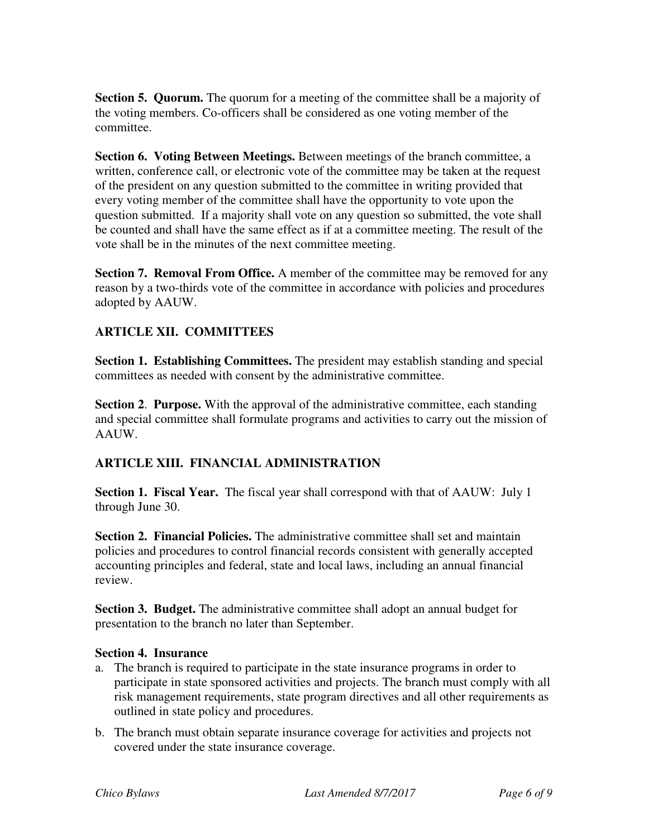**Section 5. Quorum.** The quorum for a meeting of the committee shall be a majority of the voting members. Co-officers shall be considered as one voting member of the committee.

**Section 6. Voting Between Meetings.** Between meetings of the branch committee, a written, conference call, or electronic vote of the committee may be taken at the request of the president on any question submitted to the committee in writing provided that every voting member of the committee shall have the opportunity to vote upon the question submitted. If a majority shall vote on any question so submitted, the vote shall be counted and shall have the same effect as if at a committee meeting. The result of the vote shall be in the minutes of the next committee meeting.

**Section 7. Removal From Office.** A member of the committee may be removed for any reason by a two-thirds vote of the committee in accordance with policies and procedures adopted by AAUW.

# **ARTICLE XII. COMMITTEES**

**Section 1. Establishing Committees.** The president may establish standing and special committees as needed with consent by the administrative committee.

**Section 2**. **Purpose.** With the approval of the administrative committee, each standing and special committee shall formulate programs and activities to carry out the mission of AAUW.

### **ARTICLE XIII. FINANCIAL ADMINISTRATION**

**Section 1. Fiscal Year.** The fiscal year shall correspond with that of AAUW: July 1 through June 30.

**Section 2. Financial Policies.** The administrative committee shall set and maintain policies and procedures to control financial records consistent with generally accepted accounting principles and federal, state and local laws, including an annual financial review.

**Section 3. Budget.** The administrative committee shall adopt an annual budget for presentation to the branch no later than September.

#### **Section 4. Insurance**

- a. The branch is required to participate in the state insurance programs in order to participate in state sponsored activities and projects. The branch must comply with all risk management requirements, state program directives and all other requirements as outlined in state policy and procedures.
- b. The branch must obtain separate insurance coverage for activities and projects not covered under the state insurance coverage.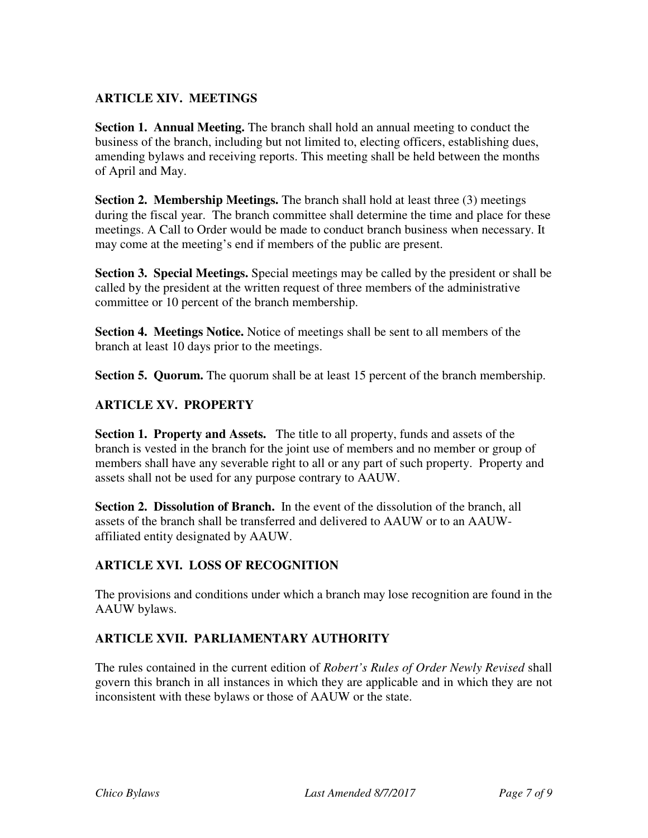## **ARTICLE XIV. MEETINGS**

**Section 1. Annual Meeting.** The branch shall hold an annual meeting to conduct the business of the branch, including but not limited to, electing officers, establishing dues, amending bylaws and receiving reports. This meeting shall be held between the months of April and May.

**Section 2. Membership Meetings.** The branch shall hold at least three (3) meetings during the fiscal year. The branch committee shall determine the time and place for these meetings. A Call to Order would be made to conduct branch business when necessary. It may come at the meeting's end if members of the public are present.

**Section 3. Special Meetings.** Special meetings may be called by the president or shall be called by the president at the written request of three members of the administrative committee or 10 percent of the branch membership.

**Section 4. Meetings Notice.** Notice of meetings shall be sent to all members of the branch at least 10 days prior to the meetings.

**Section 5. Quorum.** The quorum shall be at least 15 percent of the branch membership.

## **ARTICLE XV. PROPERTY**

**Section 1. Property and Assets.** The title to all property, funds and assets of the branch is vested in the branch for the joint use of members and no member or group of members shall have any severable right to all or any part of such property. Property and assets shall not be used for any purpose contrary to AAUW.

**Section 2. Dissolution of Branch.** In the event of the dissolution of the branch, all assets of the branch shall be transferred and delivered to AAUW or to an AAUWaffiliated entity designated by AAUW.

### **ARTICLE XVI. LOSS OF RECOGNITION**

The provisions and conditions under which a branch may lose recognition are found in the AAUW bylaws.

# **ARTICLE XVII. PARLIAMENTARY AUTHORITY**

The rules contained in the current edition of *Robert's Rules of Order Newly Revised* shall govern this branch in all instances in which they are applicable and in which they are not inconsistent with these bylaws or those of AAUW or the state.